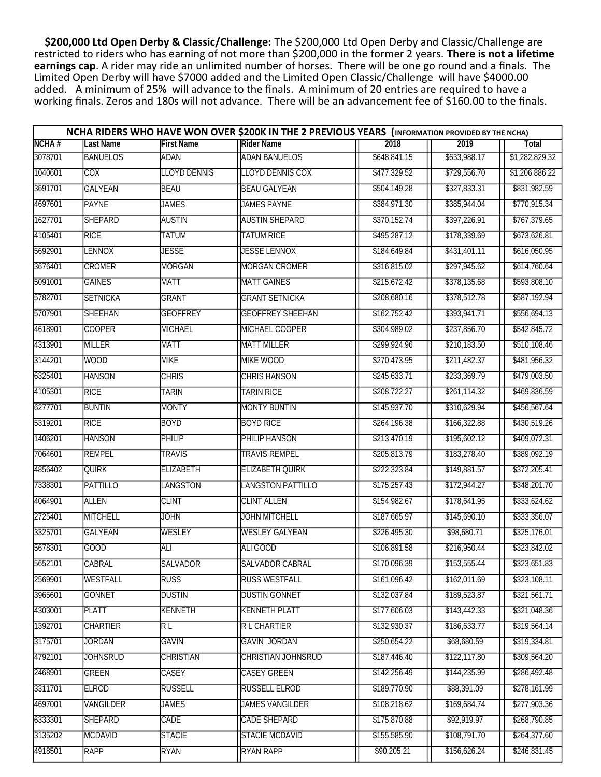\$200,000 Ltd Open Derby & Classic/Challenge: The \$200,000 Ltd Open Derby and Classic/Challenge are restricted to riders who has earning of not more than \$200,000 in the former 2 years. There is not a lifetime earnings cap. A rider may ride an unlimited number of horses. There will be one go round and a finals. The Limited Open Derby will have \$7000 added and the Limited Open Classic/Challenge will have \$4000.00 added. A minimum of 25% will advance to the finals. A minimum of 20 entries are required to have a working finals. Zeros and 180s will not advance. There will be an advancement fee of \$160.00 to the finals.

|              | NCHA RIDERS WHO HAVE WON OVER \$200K IN THE 2 PREVIOUS YEARS (INFORMATION PROVIDED BY THE NCHA) |                     |                           |              |              |                |  |  |  |  |
|--------------|-------------------------------------------------------------------------------------------------|---------------------|---------------------------|--------------|--------------|----------------|--|--|--|--|
| <b>NCHA#</b> | <b>Last Name</b>                                                                                | <b>First Name</b>   | <b>Rider Name</b>         | 2018         | 2019         | <b>Total</b>   |  |  |  |  |
| 3078701      | <b>BANUELOS</b>                                                                                 | <b>ADAN</b>         | <b>ADAN BANUELOS</b>      | \$648,841.15 | \$633,988.17 | \$1,282,829.32 |  |  |  |  |
| 1040601      | <b>COX</b>                                                                                      | <b>LLOYD DENNIS</b> | <b>LLOYD DENNIS COX</b>   | \$477,329.52 | \$729,556.70 | \$1,206,886.22 |  |  |  |  |
| 3691701      | <b>GALYEAN</b>                                                                                  | <b>BEAU</b>         | <b>BEAU GALYEAN</b>       | \$504,149.28 | \$327,833.31 | \$831,982.59   |  |  |  |  |
| 4697601      | <b>PAYNE</b>                                                                                    | <b>JAMES</b>        | JAMES PAYNE               | \$384,971.30 | \$385,944.04 | \$770,915.34   |  |  |  |  |
| 1627701      | <b>SHEPARD</b>                                                                                  | <b>AUSTIN</b>       | <b>AUSTIN SHEPARD</b>     | \$370,152.74 | \$397,226.91 | \$767,379.65   |  |  |  |  |
| 4105401      | <b>RICE</b>                                                                                     | <b>TATUM</b>        | <b>TATUM RICE</b>         | \$495,287.12 | \$178,339.69 | \$673,626.81   |  |  |  |  |
| 5692901      | <b>LENNOX</b>                                                                                   | <b>JESSE</b>        | JESSE LENNOX              | \$184,649.84 | \$431,401.11 | \$616,050.95   |  |  |  |  |
| 3676401      | <b>CROMER</b>                                                                                   | <b>MORGAN</b>       | <b>MORGAN CROMER</b>      | \$316,815.02 | \$297,945.62 | \$614,760.64   |  |  |  |  |
| 5091001      | <b>GAINES</b>                                                                                   | <b>MATT</b>         | <b>MATT GAINES</b>        | \$215,672.42 | \$378,135.68 | \$593,808.10   |  |  |  |  |
| 5782701      | <b>SETNICKA</b>                                                                                 | GRANT               | <b>GRANT SETNICKA</b>     | \$208,680.16 | \$378,512.78 | \$587,192.94   |  |  |  |  |
| 5707901      | <b>SHEEHAN</b>                                                                                  | <b>GEOFFREY</b>     | <b>GEOFFREY SHEEHAN</b>   | \$162,752.42 | \$393,941.71 | \$556,694.13   |  |  |  |  |
| 4618901      | <b>COOPER</b>                                                                                   | <b>MICHAEL</b>      | MICHAEL COOPER            | \$304,989.02 | \$237,856.70 | \$542,845.72   |  |  |  |  |
| 4313901      | <b>MILLER</b>                                                                                   | <b>MATT</b>         | <b>MATT MILLER</b>        | \$299,924.96 | \$210,183.50 | \$510,108.46   |  |  |  |  |
| 3144201      | <b>WOOD</b>                                                                                     | <b>MIKE</b>         | <b>MIKE WOOD</b>          | \$270,473.95 | \$211,482.37 | \$481,956.32   |  |  |  |  |
| 6325401      | <b>HANSON</b>                                                                                   | <b>CHRIS</b>        | <b>CHRIS HANSON</b>       | \$245,633.71 | \$233,369.79 | \$479,003.50   |  |  |  |  |
| 4105301      | <b>RICE</b>                                                                                     | <b>TARIN</b>        | <b>TARIN RICE</b>         | \$208,722.27 | \$261,114.32 | \$469,836.59   |  |  |  |  |
| 6277701      | <b>BUNTIN</b>                                                                                   | <b>MONTY</b>        | <b>MONTY BUNTIN</b>       | \$145,937.70 | \$310,629.94 | \$456,567.64   |  |  |  |  |
| 5319201      | <b>RICE</b>                                                                                     | <b>BOYD</b>         | <b>BOYD RICE</b>          | \$264,196.38 | \$166,322.88 | \$430,519.26   |  |  |  |  |
| 1406201      | <b>HANSON</b>                                                                                   | PHILIP              | PHILIP HANSON             | \$213,470.19 | \$195,602.12 | \$409,072.31   |  |  |  |  |
| 7064601      | <b>REMPEL</b>                                                                                   | <b>TRAVIS</b>       | <b>TRAVIS REMPEL</b>      | \$205,813.79 | \$183,278.40 | \$389,092.19   |  |  |  |  |
| 4856402      | <b>QUIRK</b>                                                                                    | <b>ELIZABETH</b>    | <b>ELIZABETH QUIRK</b>    | \$222,323.84 | \$149,881.57 | \$372,205.41   |  |  |  |  |
| 7338301      | PATTILLO                                                                                        | <b>LANGSTON</b>     | LANGSTON PATTILLO         | \$175,257.43 | \$172,944.27 | \$348,201.70   |  |  |  |  |
| 4064901      | ALLEN                                                                                           | <b>CLINT</b>        | <b>CLINT ALLEN</b>        | \$154,982.67 | \$178,641.95 | \$333,624.62   |  |  |  |  |
| 2725401      | <b>MITCHELL</b>                                                                                 | <b>JOHN</b>         | <b>JOHN MITCHELL</b>      | \$187,665.97 | \$145,690.10 | \$333,356.07   |  |  |  |  |
| 3325701      | <b>GALYEAN</b>                                                                                  | WESLEY              | <b>WESLEY GALYEAN</b>     | \$226,495.30 | \$98,680.71  | \$325,176.01   |  |  |  |  |
| 5678301      | <b>GOOD</b>                                                                                     | <b>ALI</b>          | ALI GOOD                  | \$106,891.58 | \$216,950.44 | \$323,842.02   |  |  |  |  |
| 5652101      | CABRAL                                                                                          | SALVADOR            | SALVADOR CABRAL           | \$170,096.39 | \$153,555.44 | \$323,651.83   |  |  |  |  |
| 2569901      | <b>WESTFALL</b>                                                                                 | <b>RUSS</b>         | <b>RUSS WESTFALL</b>      | \$161,096.42 | \$162,011.69 | \$323,108.11   |  |  |  |  |
| 3965601      | GONNET                                                                                          | <b>DUSTIN</b>       | <b>DUSTIN GONNET</b>      | \$132,037.84 | \$189,523.87 | \$321,561.71   |  |  |  |  |
| 4303001      | <b>PLATT</b>                                                                                    | <b>KENNETH</b>      | <b>KENNETH PLATT</b>      | \$177,606.03 | \$143,442.33 | \$321,048.36   |  |  |  |  |
| 1392701      | <b>CHARTIER</b>                                                                                 | RL                  | R L CHARTIER              | \$132,930.37 | \$186,633.77 | \$319,564.14   |  |  |  |  |
| 3175701      | JORDAN                                                                                          | GAVIN               | GAVIN JORDAN              | \$250,654.22 | \$68,680.59  | \$319,334.81   |  |  |  |  |
| 4792101      | <b>JOHNSRUD</b>                                                                                 | <b>CHRISTIAN</b>    | <b>CHRISTIAN JOHNSRUD</b> | \$187,446.40 | \$122,117.80 | \$309,564.20   |  |  |  |  |
| 2468901      | <b>GREEN</b>                                                                                    | <b>CASEY</b>        | <b>CASEY GREEN</b>        | \$142,256.49 | \$144,235.99 | \$286,492.48   |  |  |  |  |
| 3311701      | ELROD                                                                                           | <b>RUSSELL</b>      | <b>RUSSELL ELROD</b>      | \$189,770.90 | \$88,391.09  | \$278,161.99   |  |  |  |  |
| 4697001      | <b>VANGILDER</b>                                                                                | <b>JAMES</b>        | JAMES VANGILDER           | \$108,218.62 | \$169,684.74 | \$277,903.36   |  |  |  |  |
| 6333301      | <b>SHEPARD</b>                                                                                  | CADE                | <b>CADE SHEPARD</b>       | \$175,870.88 | \$92,919.97  | \$268,790.85   |  |  |  |  |
| 3135202      | MCDAVID                                                                                         | <b>STACIE</b>       | <b>STACIE MCDAVID</b>     | \$155,585.90 | \$108,791.70 | \$264,377.60   |  |  |  |  |
| 4918501      | <b>RAPP</b>                                                                                     | <b>RYAN</b>         | <b>RYAN RAPP</b>          | \$90,205.21  | \$156,626.24 | \$246,831.45   |  |  |  |  |